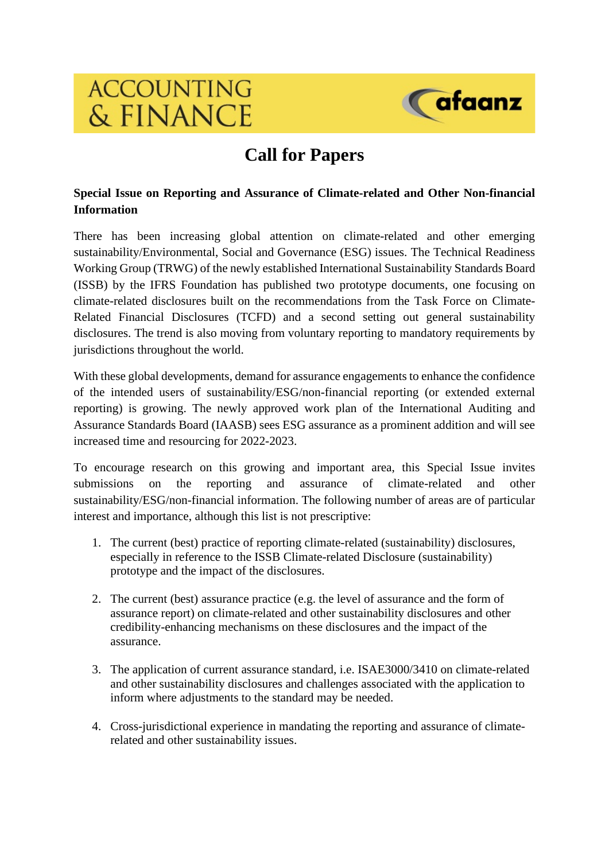# **ACCOUNTING** & FINANCE



## **Call for Papers**

### **Special Issue on Reporting and Assurance of Climate-related and Other Non-financial Information**

There has been increasing global attention on climate-related and other emerging sustainability/Environmental, Social and Governance (ESG) issues. The Technical Readiness Working Group (TRWG) of the newly established International Sustainability Standards Board (ISSB) by the IFRS Foundation has published two prototype documents, one focusing on climate-related disclosures built on the recommendations from the Task Force on Climate-Related Financial Disclosures (TCFD) and a second setting out general sustainability disclosures. The trend is also moving from voluntary reporting to mandatory requirements by jurisdictions throughout the world.

With these global developments, demand for assurance engagements to enhance the confidence of the intended users of sustainability/ESG/non-financial reporting (or extended external reporting) is growing. The newly approved work plan of the International Auditing and Assurance Standards Board (IAASB) sees ESG assurance as a prominent addition and will see increased time and resourcing for 2022-2023.

To encourage research on this growing and important area, this Special Issue invites submissions on the reporting and assurance of climate-related and other sustainability/ESG/non-financial information. The following number of areas are of particular interest and importance, although this list is not prescriptive:

- 1. The current (best) practice of reporting climate-related (sustainability) disclosures, especially in reference to the ISSB Climate-related Disclosure (sustainability) prototype and the impact of the disclosures.
- 2. The current (best) assurance practice (e.g. the level of assurance and the form of assurance report) on climate-related and other sustainability disclosures and other credibility-enhancing mechanisms on these disclosures and the impact of the assurance.
- 3. The application of current assurance standard, i.e. ISAE3000/3410 on climate-related and other sustainability disclosures and challenges associated with the application to inform where adjustments to the standard may be needed.
- 4. Cross-jurisdictional experience in mandating the reporting and assurance of climaterelated and other sustainability issues.